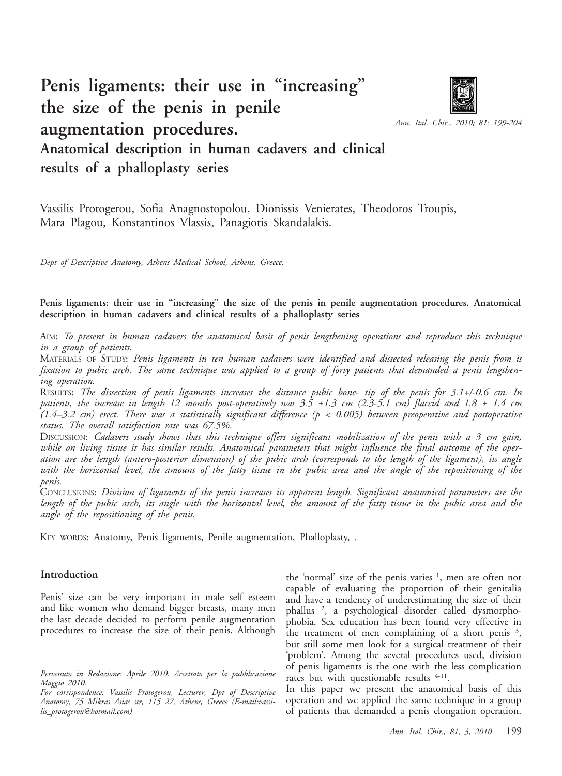# **Penis ligaments: their use in "increasing" the size of the penis in penile augmentation procedures.**



*Ann. Ital. Chir., 2010; 81: 199-204*

# **Anatomical description in human cadavers and clinical results of a phalloplasty series**

Vassilis Protogerou, Sofia Anagnostopolou, Dionissis Venierates, Theodoros Troupis, Mara Plagou, Konstantinos Vlassis, Panagiotis Skandalakis.

*Dept of Descriptive Anatomy, Athens Medical School, Athens, Greece.*

**Penis ligaments: their use in "increasing" the size of the penis in penile augmentation procedures. Anatomical description in human cadavers and clinical results of a phalloplasty series**

AIM: *To present in human cadavers the anatomical basis of penis lengthening operations and reproduce this technique in a group of patients.*

MATERIALS OF STUDY: *Penis ligaments in ten human cadavers were identified and dissected releasing the penis from is fixation to pubic arch. The same technique was applied to a group of forty patients that demanded a penis lengthening operation.*

RESULTS: *The dissection of penis ligaments increases the distance pubic bone- tip of the penis for 3.1+/-0.6 cm. In patients, the increase in length 12 months post-operatively was 3.5 ±1.3 cm (2.3-5.1 cm) flaccid and 1.8 ± 1.4 cm (1.4–3.2 cm) erect. There was a statistically significant difference (p < 0.005) between preoperative and postoperative status. The overall satisfaction rate was 67.5%.*

DISCUSSION: *Cadavers study shows that this technique offers significant mobilization of the penis with a 3 cm gain, while on living tissue it has similar results. Anatomical parameters that might influence the final outcome of the operation are the length (antero-posterior dimension) of the pubic arch (corresponds to the length of the ligament), its angle with the horizontal level, the amount of the fatty tissue in the pubic area and the angle of the repositioning of the penis.* 

CONCLUSIONS: *Division of ligaments of the penis increases its apparent length. Significant anatomical parameters are the length of the pubic arch, its angle with the horizontal level, the amount of the fatty tissue in the pubic area and the angle of the repositioning of the penis.* 

KEY WORDS: Anatomy, Penis ligaments, Penile augmentation, Phalloplasty, .

#### **Introduction**

Penis' size can be very important in male self esteem and like women who demand bigger breasts, many men the last decade decided to perform penile augmentation procedures to increase the size of their penis. Although

the 'normal' size of the penis varies  $\frac{1}{1}$ , men are often not capable of evaluating the proportion of their genitalia and have a tendency of underestimating the size of their phallus 2, a psychological disorder called dysmorphophobia. Sex education has been found very effective in the treatment of men complaining of a short penis  $3$ , but still some men look for a surgical treatment of their 'problem'. Among the several procedures used, division of penis ligaments is the one with the less complication rates but with questionable results <sup>4-11</sup>.

In this paper we present the anatomical basis of this operation and we applied the same technique in a group of patients that demanded a penis elongation operation.

*Pervenuto in Redazione: Aprile 2010. Accettato per la pubblicazione Maggio 2010.*

*For corrispondence: Vassilis Protogerou, Lecturer, Dpt of Descriptive Anatomy, 75 Mikras Asias str, 115 27, Athens, Greece (E-mail:vassilis\_protogerou@hotmail.com)*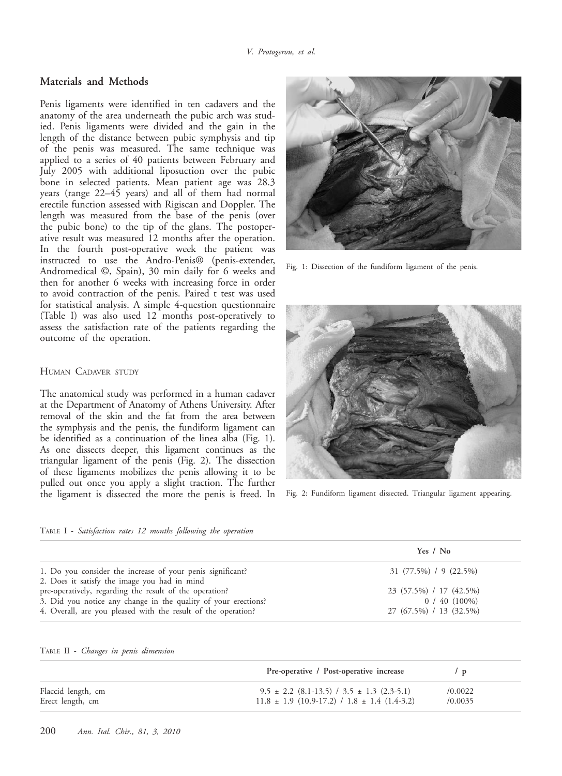## **Materials and Methods**

Penis ligaments were identified in ten cadavers and the anatomy of the area underneath the pubic arch was studied. Penis ligaments were divided and the gain in the length of the distance between pubic symphysis and tip of the penis was measured. The same technique was applied to a series of 40 patients between February and July 2005 with additional liposuction over the pubic bone in selected patients. Mean patient age was 28.3 years (range 22–45 years) and all of them had normal erectile function assessed with Rigiscan and Doppler. The length was measured from the base of the penis (over the pubic bone) to the tip of the glans. The postoperative result was measured 12 months after the operation. In the fourth post-operative week the patient was instructed to use the Andro-Penis® (penis-extender, Andromedical ©, Spain), 30 min daily for 6 weeks and then for another 6 weeks with increasing force in order to avoid contraction of the penis. Paired t test was used for statistical analysis. A simple 4-question questionnaire (Table I) was also used 12 months post-operatively to assess the satisfaction rate of the patients regarding the outcome of the operation.

#### HUMAN CADAVER STUDY

The anatomical study was performed in a human cadaver at the Department of Anatomy of Athens University. After removal of the skin and the fat from the area between the symphysis and the penis, the fundiform ligament can be identified as a continuation of the linea alba (Fig. 1). As one dissects deeper, this ligament continues as the triangular ligament of the penis (Fig. 2). The dissection of these ligaments mobilizes the penis allowing it to be pulled out once you apply a slight traction. The further the ligament is dissected the more the penis is freed. In



Fig. 1: Dissection of the fundiform ligament of the penis.



Fig. 2: Fundiform ligament dissected. Triangular ligament appearing.

|  | TABLE I - Satisfaction rates 12 months following the operation |  |  |  |  |  |
|--|----------------------------------------------------------------|--|--|--|--|--|
|--|----------------------------------------------------------------|--|--|--|--|--|

|                                                                                                            | Yes / No                   |
|------------------------------------------------------------------------------------------------------------|----------------------------|
| 1. Do you consider the increase of your penis significant?<br>2. Does it satisfy the image you had in mind | $31 (77.5\%) / 9 (22.5\%)$ |
| pre-operatively, regarding the result of the operation?                                                    | 23 (57.5%) / 17 (42.5%)    |
| 3. Did you notice any change in the quality of your erections?                                             | $0/40(100\%)$              |
| 4. Overall, are you pleased with the result of the operation?                                              | 27 (67.5%) / 13 (32.5%)    |

TABLE II - *Changes in penis dimension*

|                    | Pre-operative / Post-operative increase              | $\sqrt{D}$ |
|--------------------|------------------------------------------------------|------------|
| Flaccid length, cm | $9.5 \pm 2.2$ (8.1-13.5) / 3.5 $\pm$ 1.3 (2.3-5.1)   | /0.0022    |
| Erect length, cm   | $11.8 \pm 1.9$ (10.9-17.2) / $1.8 \pm 1.4$ (1.4-3.2) | /0.0035    |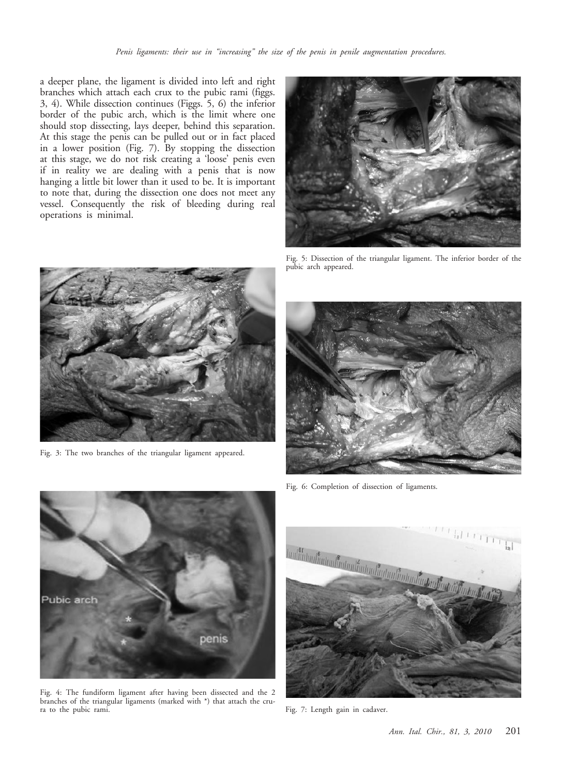a deeper plane, the ligament is divided into left and right branches which attach each crux to the pubic rami (figgs. 3, 4). While dissection continues (Figgs. 5, 6) the inferior border of the pubic arch, which is the limit where one should stop dissecting, lays deeper, behind this separation. At this stage the penis can be pulled out or in fact placed in a lower position (Fig. 7). By stopping the dissection at this stage, we do not risk creating a 'loose' penis even if in reality we are dealing with a penis that is now hanging a little bit lower than it used to be. It is important to note that, during the dissection one does not meet any vessel. Consequently the risk of bleeding during real operations is minimal.



Fig. 5: Dissection of the triangular ligament. The inferior border of the pubic arch appeared.



Fig. 3: The two branches of the triangular ligament appeared.



Fig. 6: Completion of dissection of ligaments.



Fig. 4: The fundiform ligament after having been dissected and the 2 branches of the triangular ligaments (marked with \*) that attach the crura to the pubic rami.



Fig. 7: Length gain in cadaver.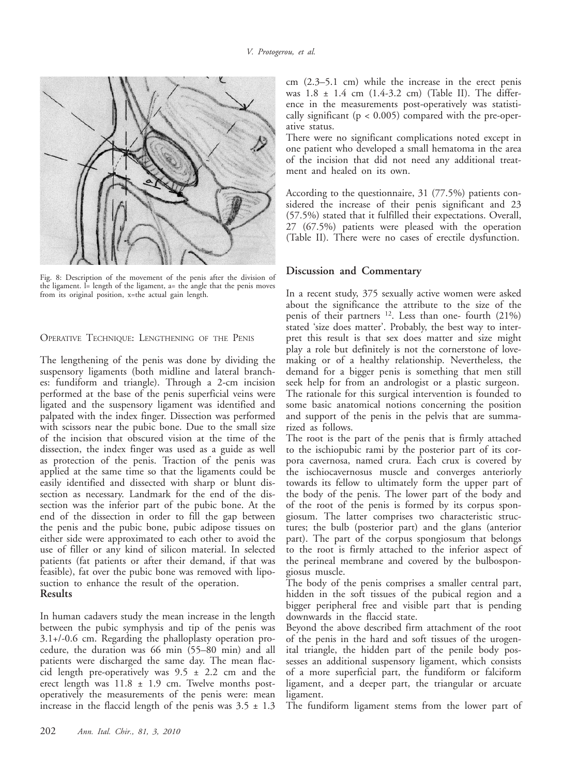

Fig. 8: Description of the movement of the penis after the division of the ligament. l= length of the ligament, a= the angle that the penis moves from its original position, x=the actual gain length.

OPERATIVE TECHNIQUE: LENGTHENING OF THE PENIS

The lengthening of the penis was done by dividing the suspensory ligaments (both midline and lateral branches: fundiform and triangle). Through a 2-cm incision performed at the base of the penis superficial veins were ligated and the suspensory ligament was identified and palpated with the index finger. Dissection was performed with scissors near the pubic bone. Due to the small size of the incision that obscured vision at the time of the dissection, the index finger was used as a guide as well as protection of the penis. Traction of the penis was applied at the same time so that the ligaments could be easily identified and dissected with sharp or blunt dissection as necessary. Landmark for the end of the dissection was the inferior part of the pubic bone. At the end of the dissection in order to fill the gap between the penis and the pubic bone, pubic adipose tissues on either side were approximated to each other to avoid the use of filler or any kind of silicon material. In selected patients (fat patients or after their demand, if that was feasible), fat over the pubic bone was removed with liposuction to enhance the result of the operation. **Results** 

In human cadavers study the mean increase in the length between the pubic symphysis and tip of the penis was 3.1+/-0.6 cm. Regarding the phalloplasty operation procedure, the duration was 66 min (55–80 min) and all patients were discharged the same day. The mean flaccid length pre-operatively was  $9.5 \pm 2.2$  cm and the erect length was 11.8 ± 1.9 cm. Twelve months postoperatively the measurements of the penis were: mean increase in the flaccid length of the penis was  $3.5 \pm 1.3$ 

cm (2.3–5.1 cm) while the increase in the erect penis was 1.8 ± 1.4 cm (1.4-3.2 cm) (Table II). The difference in the measurements post-operatively was statistically significant ( $p < 0.005$ ) compared with the pre-operative status.

There were no significant complications noted except in one patient who developed a small hematoma in the area of the incision that did not need any additional treatment and healed on its own.

According to the questionnaire, 31 (77.5%) patients considered the increase of their penis significant and 23 (57.5%) stated that it fulfilled their expectations. Overall, 27 (67.5%) patients were pleased with the operation (Table II). There were no cases of erectile dysfunction.

#### **Discussion and Commentary**

In a recent study, 375 sexually active women were asked about the significance the attribute to the size of the penis of their partners 12. Less than one- fourth (21%) stated 'size does matter'. Probably, the best way to interpret this result is that sex does matter and size might play a role but definitely is not the cornerstone of lovemaking or of a healthy relationship. Nevertheless, the demand for a bigger penis is something that men still seek help for from an andrologist or a plastic surgeon. The rationale for this surgical intervention is founded to some basic anatomical notions concerning the position and support of the penis in the pelvis that are summarized as follows.

The root is the part of the penis that is firmly attached to the ischiopubic rami by the posterior part of its corpora cavernosa, named crura. Each crux is covered by the ischiocavernosus muscle and converges anteriorly towards its fellow to ultimately form the upper part of the body of the penis. The lower part of the body and of the root of the penis is formed by its corpus spongiosum. The latter comprises two characteristic structures; the bulb (posterior part) and the glans (anterior part). The part of the corpus spongiosum that belongs to the root is firmly attached to the inferior aspect of the perineal membrane and covered by the bulbospongiosus muscle.

The body of the penis comprises a smaller central part, hidden in the soft tissues of the pubical region and a bigger peripheral free and visible part that is pending downwards in the flaccid state.

Beyond the above described firm attachment of the root of the penis in the hard and soft tissues of the urogenital triangle, the hidden part of the penile body possesses an additional suspensory ligament, which consists of a more superficial part, the fundiform or falciform ligament, and a deeper part, the triangular or arcuate ligament.

The fundiform ligament stems from the lower part of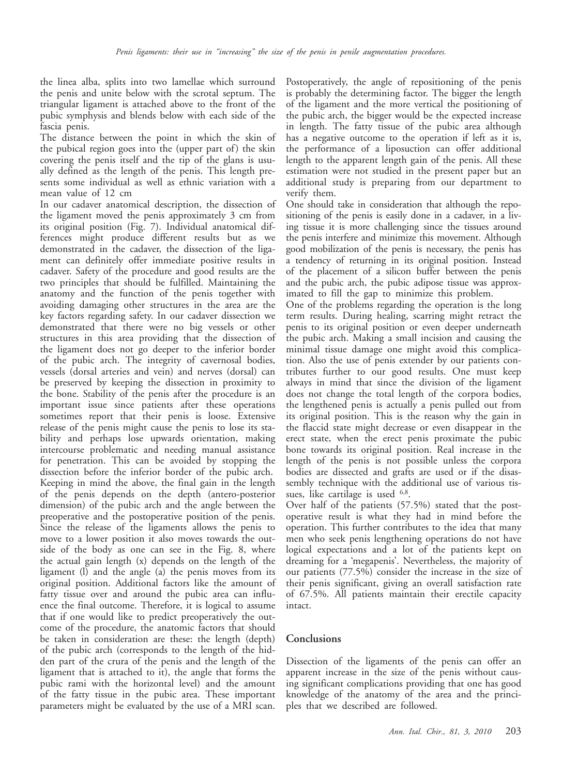the linea alba, splits into two lamellae which surround the penis and unite below with the scrotal septum. The triangular ligament is attached above to the front of the pubic symphysis and blends below with each side of the fascia penis.

The distance between the point in which the skin of the pubical region goes into the (upper part of) the skin covering the penis itself and the tip of the glans is usually defined as the length of the penis. This length presents some individual as well as ethnic variation with a mean value of 12 cm

In our cadaver anatomical description, the dissection of the ligament moved the penis approximately 3 cm from its original position (Fig. 7). Individual anatomical differences might produce different results but as we demonstrated in the cadaver, the dissection of the ligament can definitely offer immediate positive results in cadaver. Safety of the procedure and good results are the two principles that should be fulfilled. Maintaining the anatomy and the function of the penis together with avoiding damaging other structures in the area are the key factors regarding safety. In our cadaver dissection we demonstrated that there were no big vessels or other structures in this area providing that the dissection of the ligament does not go deeper to the inferior border of the pubic arch. The integrity of cavernosal bodies, vessels (dorsal arteries and vein) and nerves (dorsal) can be preserved by keeping the dissection in proximity to the bone. Stability of the penis after the procedure is an important issue since patients after these operations sometimes report that their penis is loose. Extensive release of the penis might cause the penis to lose its stability and perhaps lose upwards orientation, making intercourse problematic and needing manual assistance for penetration. This can be avoided by stopping the dissection before the inferior border of the pubic arch. Keeping in mind the above, the final gain in the length of the penis depends on the depth (antero-posterior dimension) of the pubic arch and the angle between the preoperative and the postoperative position of the penis. Since the release of the ligaments allows the penis to move to a lower position it also moves towards the outside of the body as one can see in the Fig. 8, where the actual gain length (x) depends on the length of the ligament (l) and the angle (a) the penis moves from its original position. Additional factors like the amount of fatty tissue over and around the pubic area can influence the final outcome. Therefore, it is logical to assume that if one would like to predict preoperatively the outcome of the procedure, the anatomic factors that should be taken in consideration are these: the length (depth) of the pubic arch (corresponds to the length of the hidden part of the crura of the penis and the length of the ligament that is attached to it), the angle that forms the pubic rami with the horizontal level) and the amount of the fatty tissue in the pubic area. These important parameters might be evaluated by the use of a MRI scan.

Postoperatively, the angle of repositioning of the penis is probably the determining factor. The bigger the length of the ligament and the more vertical the positioning of the pubic arch, the bigger would be the expected increase in length. The fatty tissue of the pubic area although has a negative outcome to the operation if left as it is, the performance of a liposuction can offer additional length to the apparent length gain of the penis. All these estimation were not studied in the present paper but an additional study is preparing from our department to verify them.

One should take in consideration that although the repositioning of the penis is easily done in a cadaver, in a living tissue it is more challenging since the tissues around the penis interfere and minimize this movement. Although good mobilization of the penis is necessary, the penis has a tendency of returning in its original position. Instead of the placement of a silicon buffer between the penis and the pubic arch, the pubic adipose tissue was approximated to fill the gap to minimize this problem.

One of the problems regarding the operation is the long term results. During healing, scarring might retract the penis to its original position or even deeper underneath the pubic arch. Making a small incision and causing the minimal tissue damage one might avoid this complication. Also the use of penis extender by our patients contributes further to our good results. One must keep always in mind that since the division of the ligament does not change the total length of the corpora bodies, the lengthened penis is actually a penis pulled out from its original position. This is the reason why the gain in the flaccid state might decrease or even disappear in the erect state, when the erect penis proximate the pubic bone towards its original position. Real increase in the length of the penis is not possible unless the corpora bodies are dissected and grafts are used or if the disassembly technique with the additional use of various tissues, like cartilage is used <sup>6,8</sup>.

Over half of the patients (57.5%) stated that the postoperative result is what they had in mind before the operation. This further contributes to the idea that many men who seek penis lengthening operations do not have logical expectations and a lot of the patients kept on dreaming for a 'megapenis'. Nevertheless, the majority of our patients (77.5%) consider the increase in the size of their penis significant, giving an overall satisfaction rate of 67.5%. All patients maintain their erectile capacity intact.

### **Conclusions**

Dissection of the ligaments of the penis can offer an apparent increase in the size of the penis without causing significant complications providing that one has good knowledge of the anatomy of the area and the principles that we described are followed.